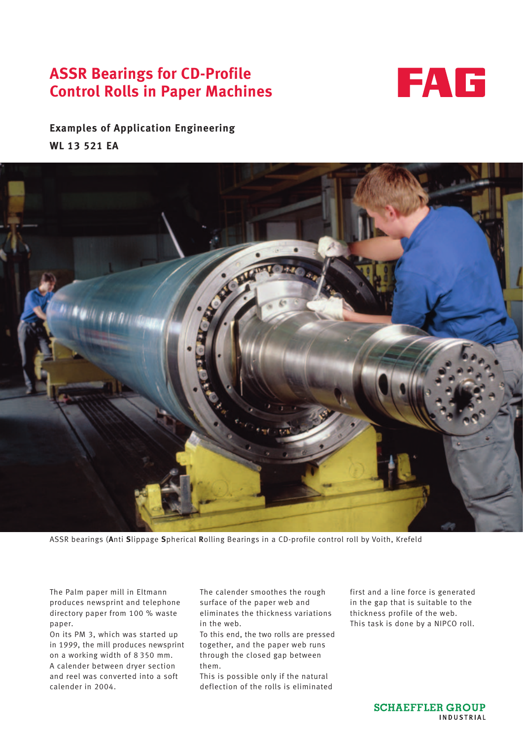# **ASSR Bearings for CD-Profile Control Rolls in Paper Machines**



**Examples of Application Engineering WL 13 521 EA**



ASSR bearings (**A**nti **S**lippage **S**pherical **R**olling Bearings in a CD-profile control roll by Voith, Krefeld

The Palm paper mill in Eltmann produces newsprint and telephone directory paper from 100 % waste paper.

On its PM 3, which was started up in 1999, the mill produces newsprint on a working width of 8 350 mm. A calender between dryer section and reel was converted into a soft calender in 2004.

The calender smoothes the rough surface of the paper web and eliminates the thickness variations in the web.

To this end, the two rolls are pressed together, and the paper web runs through the closed gap between them.

This is possible only if the natural deflection of the rolls is eliminated first and a line force is generated in the gap that is suitable to the thickness profile of the web. This task is done by a NIPCO roll.